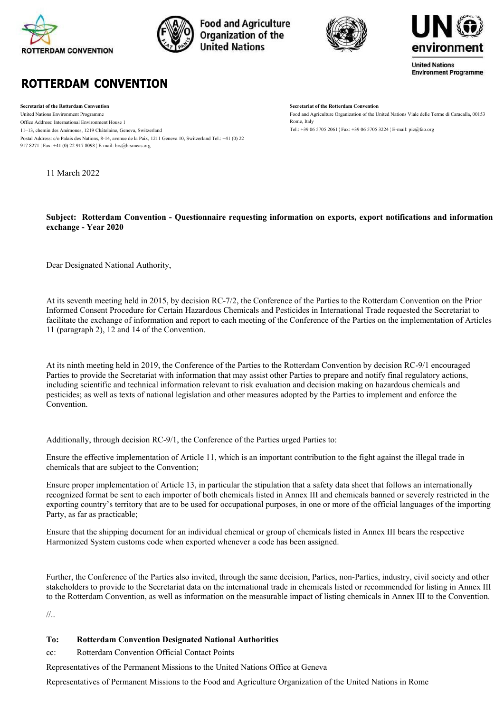



**Food and Agriculture Organization of the United Nations** 





**United Nations Environment Programme** 

## **ROTTERDAM CONVENTION**

**Secretariat of the Rotterdam Convention** United Nations Environment Programme Office Address: International Environment House 1 11–13, chemin des Anémones, 1219 Châtelaine, Geneva, Switzerland Postal Address: c/o Palais des Nations, 8-14, avenue de la Paix, 1211 Geneva 10, Switzerland Tel.: +41 (0) 22 917 8271 ¦ Fax: +41 (0) 22 917 8098 ¦ E-mail[: brs@brsmeas.org](mailto:brs@brsmeas.org)

11 March 2022

## **Secretariat of the Rotterdam Convention**

Food and Agriculture Organization of the United Nations Viale delle Terme di Caracalla, 00153 Rome, Italy Tel.: +39 06 5705 2061 ¦ Fax: +39 06 5705 3224 ¦ E-mail[: pic@fao.org](mailto:pic@fao.org)

## **Subject: Rotterdam Convention - Questionnaire requesting information on exports, export notifications and information exchange - Year 2020**

Dear Designated National Authority,

At its seventh meeting held in 2015, by decision RC-7/2, the Conference of the Parties to the Rotterdam Convention on the Prior Informed Consent Procedure for Certain Hazardous Chemicals and Pesticides in International Trade requested the Secretariat to facilitate the exchange of information and report to each meeting of the Conference of the Parties on the implementation of Articles 11 (paragraph 2), 12 and 14 of the Convention.

At its ninth meeting held in 2019, the Conference of the Parties to the Rotterdam Convention by decision RC-9/1 encouraged Parties to provide the Secretariat with information that may assist other Parties to prepare and notify final regulatory actions, including scientific and technical information relevant to risk evaluation and decision making on hazardous chemicals and pesticides; as well as texts of national legislation and other measures adopted by the Parties to implement and enforce the Convention.

Additionally, through decision RC-9/1, the Conference of the Parties urged Parties to:

Ensure the effective implementation of Article 11, which is an important contribution to the fight against the illegal trade in chemicals that are subject to the Convention;

Ensure proper implementation of Article 13, in particular the stipulation that a safety data sheet that follows an internationally recognized format be sent to each importer of both chemicals listed in Annex III and chemicals banned or severely restricted in the exporting country's territory that are to be used for occupational purposes, in one or more of the official languages of the importing Party, as far as practicable;

Ensure that the shipping document for an individual chemical or group of chemicals listed in Annex III bears the respective Harmonized System customs code when exported whenever a code has been assigned.

Further, the Conference of the Parties also invited, through the same decision, Parties, non-Parties, industry, civil society and other stakeholders to provide to the Secretariat data on the international trade in chemicals listed or recommended for listing in Annex III to the Rotterdam Convention, as well as information on the measurable impact of listing chemicals in Annex III to the Convention.

//..

## **To: Rotterdam Convention Designated National Authorities**

cc: Rotterdam Convention Official Contact Points

Representatives of the Permanent Missions to the United Nations Office at Geneva

Representatives of Permanent Missions to the Food and Agriculture Organization of the United Nations in Rome